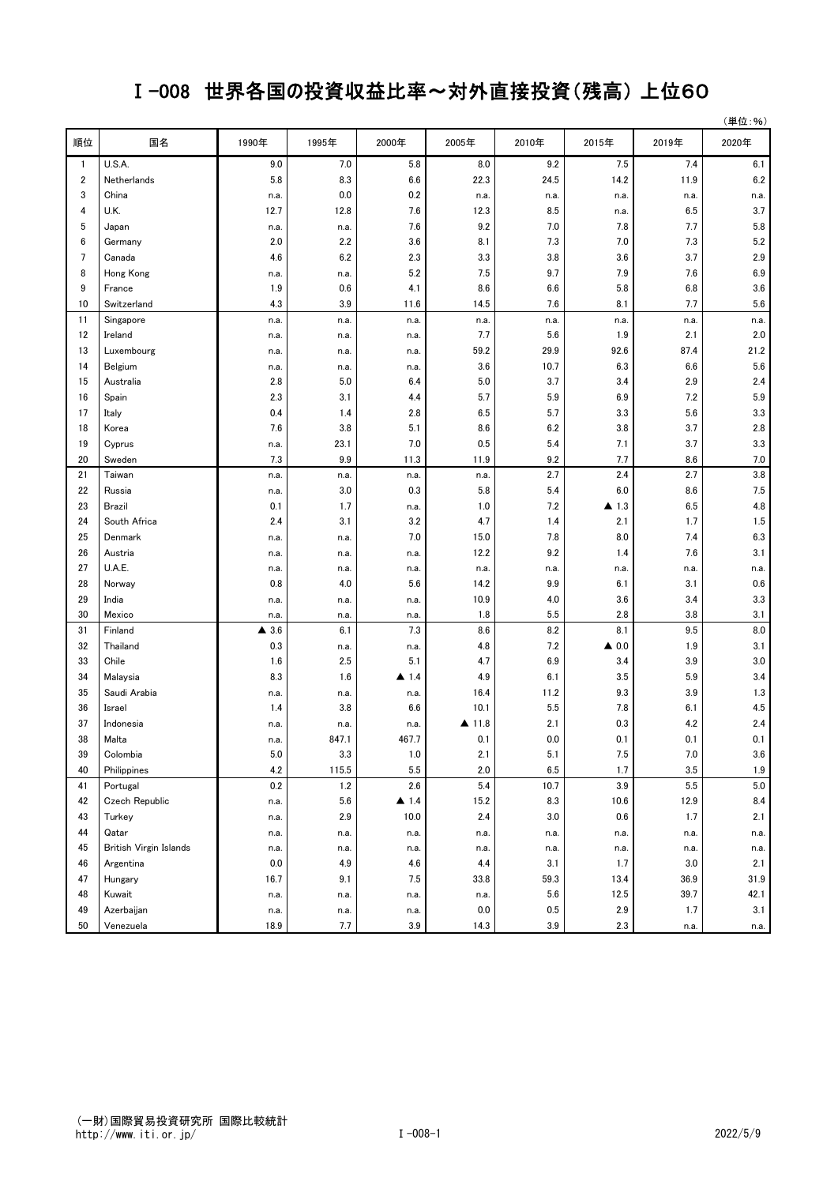## Ⅰ-008 世界各国の投資収益比率~対外直接投資(残高) 上位60

|    |                        |          |       |                      |         |         |                      |       | (単位:%)  |
|----|------------------------|----------|-------|----------------------|---------|---------|----------------------|-------|---------|
| 順位 | 国名                     | 1990年    | 1995年 | 2000年                | 2005年   | 2010年   | 2015年                | 2019年 | 2020年   |
| 1  | U.S.A.                 | 9.0      | 7.0   | 5.8                  | 8.0     | 9.2     | 7.5                  | 7.4   | 6.1     |
| 2  | Netherlands            | 5.8      | 8.3   | 6.6                  | 22.3    | 24.5    | 14.2                 | 11.9  | 6.2     |
| 3  | China                  | n.a.     | 0.0   | 0.2                  | n.a.    | n.a.    | n.a.                 | n.a.  | n.a.    |
| 4  | U.K.                   | 12.7     | 12.8  | 7.6                  | 12.3    | 8.5     | n.a.                 | 6.5   | 3.7     |
| 5  | Japan                  | n.a.     | n.a.  | 7.6                  | 9.2     | 7.0     | 7.8                  | 7.7   | 5.8     |
| 6  | Germany                | 2.0      | 2.2   | 3.6                  | 8.1     | 7.3     | 7.0                  | 7.3   | 5.2     |
| 7  | Canada                 | 4.6      | 6.2   | 2.3                  | 3.3     | 3.8     | 3.6                  | 3.7   | 2.9     |
| 8  | Hong Kong              | n.a.     | n.a.  | 5.2                  | 7.5     | 9.7     | 7.9                  | 7.6   | 6.9     |
| 9  | France                 | 1.9      | 0.6   | 4.1                  | 8.6     | 6.6     | 5.8                  | 6.8   | 3.6     |
| 10 | Switzerland            | 4.3      | 3.9   | 11.6                 | 14.5    | 7.6     | 8.1                  | 7.7   | 5.6     |
| 11 | Singapore              | n.a.     | n.a.  | n.a.                 | n.a.    | n.a.    | n.a.                 | n.a.  | n.a.    |
| 12 | Ireland                | n.a.     | n.a.  | n.a.                 | 7.7     | 5.6     | 1.9                  | 2.1   | 2.0     |
| 13 | Luxembourg             | n.a.     | n.a.  | n.a.                 | 59.2    | 29.9    | 92.6                 | 87.4  | 21.2    |
| 14 | Belgium                | n.a.     | n.a.  | n.a.                 | 3.6     | 10.7    | 6.3                  | 6.6   | 5.6     |
| 15 | Australia              | 2.8      | 5.0   | 6.4                  | 5.0     | 3.7     | 3.4                  | 2.9   | 2.4     |
| 16 | Spain                  | 2.3      | 3.1   | 4.4                  | 5.7     | 5.9     | 6.9                  | 7.2   | 5.9     |
| 17 | Italy                  | 0.4      | 1.4   | 2.8                  | 6.5     | 5.7     | 3.3                  | 5.6   | 3.3     |
| 18 | Korea                  | 7.6      | 3.8   | 5.1                  | 8.6     | 6.2     | 3.8                  | 3.7   | 2.8     |
| 19 | Cyprus                 | n.a.     | 23.1  | 7.0                  | 0.5     | 5.4     | 7.1                  | 3.7   | 3.3     |
| 20 | Sweden                 | 7.3      | 9.9   | 11.3                 | 11.9    | 9.2     | 7.7                  | 8.6   | 7.0     |
| 21 | Taiwan                 | n.a.     | n.a.  | n.a.                 | n.a.    | 2.7     | 2.4                  | 2.7   | 3.8     |
| 22 | Russia                 | n.a.     | 3.0   | 0.3                  | 5.8     | 5.4     | 6.0                  | 8.6   | 7.5     |
| 23 | Brazil                 | 0.1      | 1.7   | n.a.                 | 1.0     | 7.2     | $\blacktriangle$ 1.3 | 6.5   | 4.8     |
| 24 | South Africa           | 2.4      | 3.1   | 3.2                  | 4.7     | 1.4     | 2.1                  | 1.7   | 1.5     |
| 25 | Denmark                | n.a.     | n.a.  | 7.0                  | 15.0    | 7.8     | 8.0                  | 7.4   | 6.3     |
| 26 | Austria                | n.a.     | n.a.  | n.a.                 | 12.2    | 9.2     | 1.4                  | 7.6   | 3.1     |
| 27 | U.A.E.                 | n.a.     | n.a.  | n.a.                 | n.a.    | n.a.    | n.a.                 | n.a.  | n.a.    |
| 28 | Norway                 | 0.8      | 4.0   | 5.6                  | 14.2    | 9.9     | 6.1                  | 3.1   | 0.6     |
| 29 | India                  | n.a.     | n.a.  | n.a.                 | 10.9    | 4.0     | 3.6                  | 3.4   | 3.3     |
| 30 | Mexico                 | n.a.     | n.a.  | n.a.                 | 1.8     | 5.5     | 2.8                  | 3.8   | 3.1     |
| 31 | Finland                | 3.6<br>▲ | 6.1   | 7.3                  | 8.6     | 8.2     | 8.1                  | 9.5   | 8.0     |
| 32 | Thailand               | 0.3      | n.a.  | n.a.                 | 4.8     | 7.2     | $\triangle$ 0.0      | 1.9   | 3.1     |
| 33 | Chile                  | 1.6      | 2.5   | 5.1                  | 4.7     | 6.9     | 3.4                  | 3.9   | 3.0     |
| 34 | Malaysia               | 8.3      | 1.6   | ▲ 1.4                | 4.9     | 6.1     | 3.5                  | 5.9   | 3.4     |
| 35 | Saudi Arabia           | n.a.     | n.a.  | n.a.                 | 16.4    | 11.2    | 9.3                  | 3.9   | 1.3     |
| 36 | Israel                 | 1.4      | 3.8   | 6.6                  | 10.1    | 5.5     | 7.8                  | 6.1   | 4.5     |
| 37 | Indonesia              | n.a.     | n.a.  | n.a.                 | ▲ 11.8  | 2.1     | 0.3                  | 4.2   | 2.4     |
| 38 | Malta                  | n.a.     | 847.1 | 467.7                | 0.1     | $0.0\,$ | 0.1                  | 0.1   | 0.1     |
| 39 | Colombia               | $5.0\,$  | 3.3   | 1.0                  | 2.1     | 5.1     | 7.5                  | 7.0   | 3.6     |
| 40 | Philippines            | 4.2      | 115.5 | 5.5                  | 2.0     | 6.5     | 1.7                  | 3.5   | 1.9     |
| 41 | Portugal               | 0.2      | 1.2   | 2.6                  | 5.4     | 10.7    | 3.9                  | 5.5   | $5.0\,$ |
| 42 | Czech Republic         | n.a.     | 5.6   | $\blacktriangle$ 1.4 | 15.2    | 8.3     | 10.6                 | 12.9  | 8.4     |
| 43 | Turkey                 | n.a.     | 2.9   | 10.0                 | 2.4     | 3.0     | 0.6                  | 1.7   | 2.1     |
| 44 | Qatar                  | n.a.     | n.a.  | n.a.                 | n.a.    | n.a.    | n.a.                 | n.a.  | n.a.    |
| 45 | British Virgin Islands | n.a.     | n.a.  | n.a.                 | n.a.    | n.a.    | n.a.                 | n.a.  | n.a.    |
| 46 | Argentina              | 0.0      | 4.9   | 4.6                  | 4.4     | 3.1     | 1.7                  | 3.0   | 2.1     |
| 47 | Hungary                | 16.7     | 9.1   | 7.5                  | 33.8    | 59.3    | 13.4                 | 36.9  | 31.9    |
| 48 | Kuwait                 | n.a.     | n.a.  | n.a.                 | n.a.    | 5.6     | 12.5                 | 39.7  | 42.1    |
| 49 | Azerbaijan             | n.a.     | n.a.  | n.a.                 | $0.0\,$ | 0.5     | 2.9                  | 1.7   | 3.1     |
| 50 | Venezuela              | 18.9     | 7.7   | 3.9                  | 14.3    | 3.9     | 2.3                  | n.a.  | n.a.    |